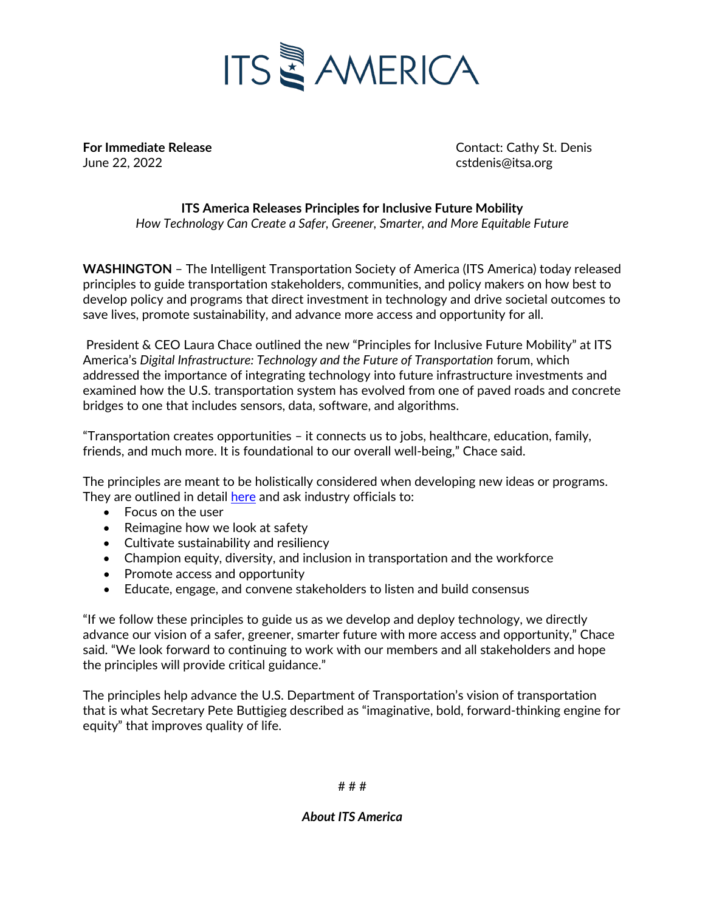

June 22, 2022 cstdenis@itsa.org

**For Immediate Release** Contact: Cathy St. Denis

**ITS America Releases Principles for Inclusive Future Mobility** *How Technology Can Create a Safer, Greener, Smarter, and More Equitable Future*

**WASHINGTON** – The Intelligent Transportation Society of America (ITS America) today released principles to guide transportation stakeholders, communities, and policy makers on how best to develop policy and programs that direct investment in technology and drive societal outcomes to save lives, promote sustainability, and advance more access and opportunity for all.

President & CEO Laura Chace outlined the new "Principles for Inclusive Future Mobility" at ITS America's *Digital Infrastructure: Technology and the Future of Transportation* forum, which addressed the importance of integrating technology into future infrastructure investments and examined how the U.S. transportation system has evolved from one of paved roads and concrete bridges to one that includes sensors, data, software, and algorithms.

"Transportation creates opportunities – it connects us to jobs, healthcare, education, family, friends, and much more. It is foundational to our overall well-being," Chace said.

The principles are meant to be holistically considered when developing new ideas or programs. They are outlined in detail [here](https://itsa.org/advocacy-material/principles-for-inclusive-future-mobility/) and ask industry officials to:

- Focus on the user
- Reimagine how we look at safety
- Cultivate sustainability and resiliency
- Champion equity, diversity, and inclusion in transportation and the workforce
- Promote access and opportunity
- Educate, engage, and convene stakeholders to listen and build consensus

"If we follow these principles to guide us as we develop and deploy technology, we directly advance our vision of a safer, greener, smarter future with more access and opportunity," Chace said. "We look forward to continuing to work with our members and all stakeholders and hope the principles will provide critical guidance."

The principles help advance the U.S. Department of Transportation's vision of transportation that is what Secretary Pete Buttigieg described as "imaginative, bold, forward-thinking engine for equity" that improves quality of life.

# # #

*About ITS America*